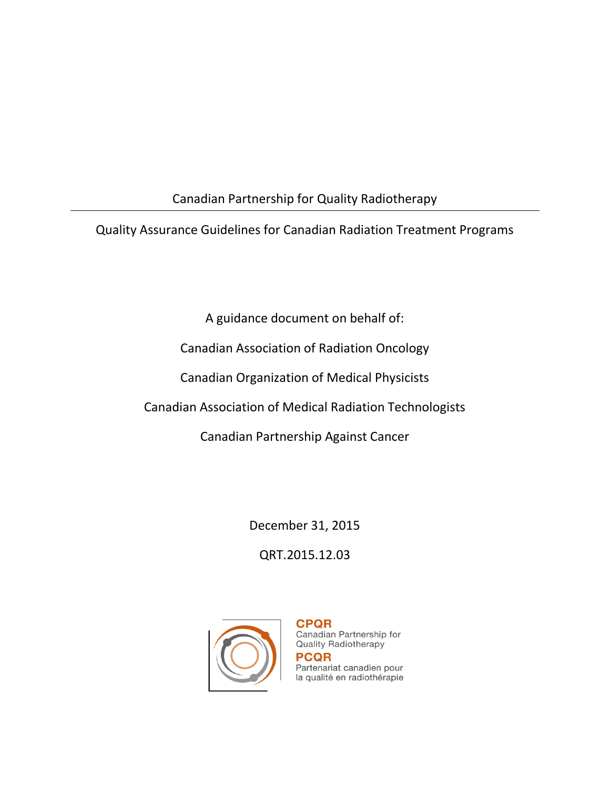# Canadian Partnership for Quality Radiotherapy

Quality Assurance Guidelines for Canadian Radiation Treatment Programs

A guidance document on behalf of:

Canadian Association of Radiation Oncology

Canadian Organization of Medical Physicists

Canadian Association of Medical Radiation Technologists

Canadian Partnership Against Cancer

December 31, 2015

QRT.2015.12.03



**CPQR** Canadian Partnership for **Quality Radiotherapy PCQR** Partenariat canadien pour la qualité en radiothérapie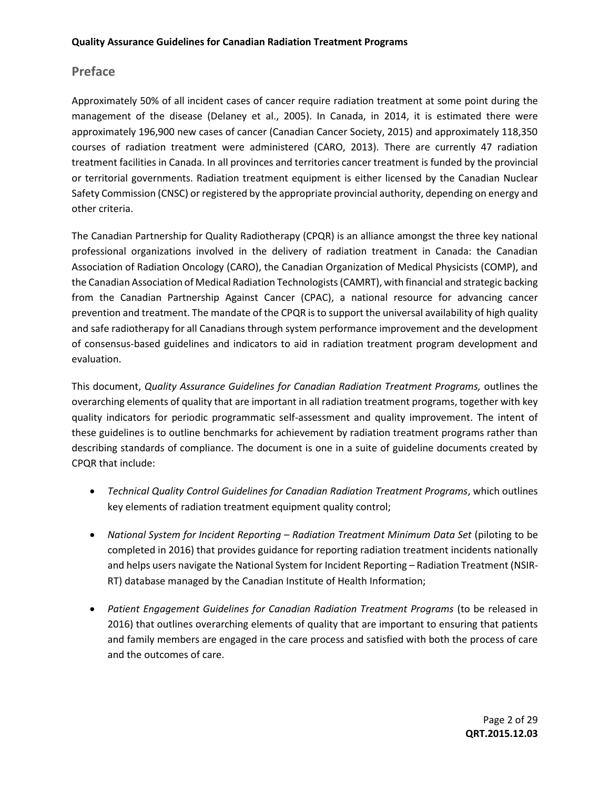#### **Preface**

Approximately 50% of all incident cases of cancer require radiation treatment at some point during the management of the disease (Delaney et al., 2005). In Canada, in 2014, it is estimated there were approximately 196,900 new cases of cancer (Canadian Cancer Society, 2015) and approximately 118,350 courses of radiation treatment were administered (CARO, 2013). There are currently 47 radiation treatment facilities in Canada. In all provinces and territories cancer treatment is funded by the provincial or territorial governments. Radiation treatment equipment is either licensed by the Canadian Nuclear Safety Commission (CNSC) or registered by the appropriate provincial authority, depending on energy and other criteria.

The Canadian Partnership for Quality Radiotherapy (CPQR) is an alliance amongst the three key national professional organizations involved in the delivery of radiation treatment in Canada: the Canadian Association of Radiation Oncology (CARO), the Canadian Organization of Medical Physicists (COMP), and the Canadian Association of Medical Radiation Technologists (CAMRT), with financial and strategic backing from the Canadian Partnership Against Cancer (CPAC), a national resource for advancing cancer prevention and treatment. The mandate of the CPQR is to support the universal availability of high quality and safe radiotherapy for all Canadians through system performance improvement and the development of consensus-based guidelines and indicators to aid in radiation treatment program development and evaluation.

This document, *Quality Assurance Guidelines for Canadian Radiation Treatment Programs,* outlines the overarching elements of quality that are important in all radiation treatment programs, together with key quality indicators for periodic programmatic self-assessment and quality improvement. The intent of these guidelines is to outline benchmarks for achievement by radiation treatment programs rather than describing standards of compliance. The document is one in a suite of guideline documents created by CPQR that include:

- *Technical Quality Control Guidelines for Canadian Radiation Treatment Programs*, which outlines key elements of radiation treatment equipment quality control;
- *National System for Incident Reporting – Radiation Treatment Minimum Data Set* (piloting to be completed in 2016) that provides guidance for reporting radiation treatment incidents nationally and helps users navigate the National System for Incident Reporting – Radiation Treatment (NSIR-RT) database managed by the Canadian Institute of Health Information;
- Patient Engagement Guidelines for Canadian Radiation Treatment Programs (to be released in 2016) that outlines overarching elements of quality that are important to ensuring that patients and family members are engaged in the care process and satisfied with both the process of care and the outcomes of care.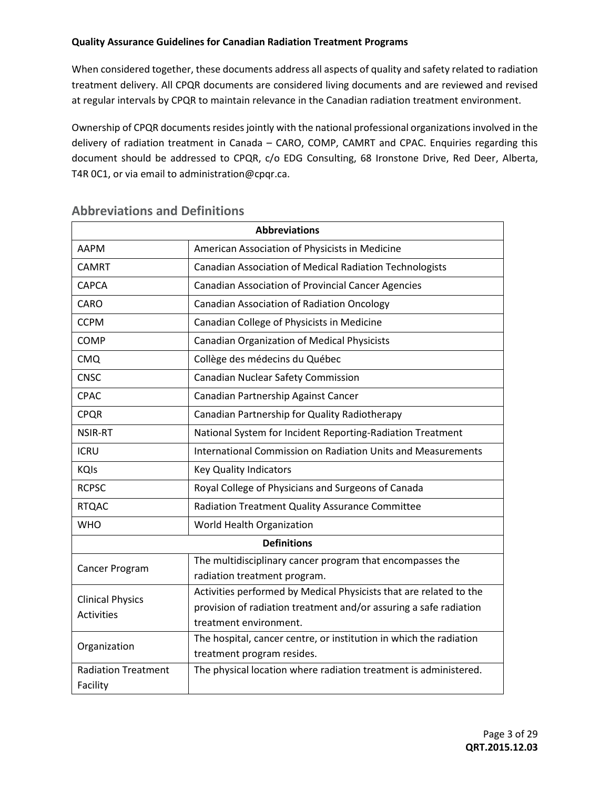When considered together, these documents address all aspects of quality and safety related to radiation treatment delivery. All CPQR documents are considered living documents and are reviewed and revised at regular intervals by CPQR to maintain relevance in the Canadian radiation treatment environment.

Ownership of CPQR documents resides jointly with the national professional organizations involved in the delivery of radiation treatment in Canada – CARO, COMP, CAMRT and CPAC. Enquiries regarding this document should be addressed to CPQR, c/o EDG Consulting, 68 Ironstone Drive, Red Deer, Alberta, T4R 0C1, or via email to administration@cpqr.ca.

| <b>Abbreviations</b>       |                                                                    |  |  |  |
|----------------------------|--------------------------------------------------------------------|--|--|--|
| AAPM                       | American Association of Physicists in Medicine                     |  |  |  |
| <b>CAMRT</b>               | Canadian Association of Medical Radiation Technologists            |  |  |  |
| CAPCA                      | <b>Canadian Association of Provincial Cancer Agencies</b>          |  |  |  |
| CARO                       | Canadian Association of Radiation Oncology                         |  |  |  |
| <b>CCPM</b>                | Canadian College of Physicists in Medicine                         |  |  |  |
| <b>COMP</b>                | <b>Canadian Organization of Medical Physicists</b>                 |  |  |  |
| <b>CMQ</b>                 | Collège des médecins du Québec                                     |  |  |  |
| <b>CNSC</b>                | Canadian Nuclear Safety Commission                                 |  |  |  |
| <b>CPAC</b>                | Canadian Partnership Against Cancer                                |  |  |  |
| <b>CPQR</b>                | Canadian Partnership for Quality Radiotherapy                      |  |  |  |
| <b>NSIR-RT</b>             | National System for Incident Reporting-Radiation Treatment         |  |  |  |
| <b>ICRU</b>                | International Commission on Radiation Units and Measurements       |  |  |  |
| <b>KQIs</b>                | <b>Key Quality Indicators</b>                                      |  |  |  |
| <b>RCPSC</b>               | Royal College of Physicians and Surgeons of Canada                 |  |  |  |
| <b>RTQAC</b>               | Radiation Treatment Quality Assurance Committee                    |  |  |  |
| <b>WHO</b>                 | World Health Organization                                          |  |  |  |
|                            | <b>Definitions</b>                                                 |  |  |  |
| Cancer Program             | The multidisciplinary cancer program that encompasses the          |  |  |  |
|                            | radiation treatment program.                                       |  |  |  |
| <b>Clinical Physics</b>    | Activities performed by Medical Physicists that are related to the |  |  |  |
| <b>Activities</b>          | provision of radiation treatment and/or assuring a safe radiation  |  |  |  |
|                            | treatment environment.                                             |  |  |  |
|                            | The hospital, cancer centre, or institution in which the radiation |  |  |  |
| Organization               | treatment program resides.                                         |  |  |  |
| <b>Radiation Treatment</b> | The physical location where radiation treatment is administered.   |  |  |  |
| Facility                   |                                                                    |  |  |  |

#### **Abbreviations and Definitions**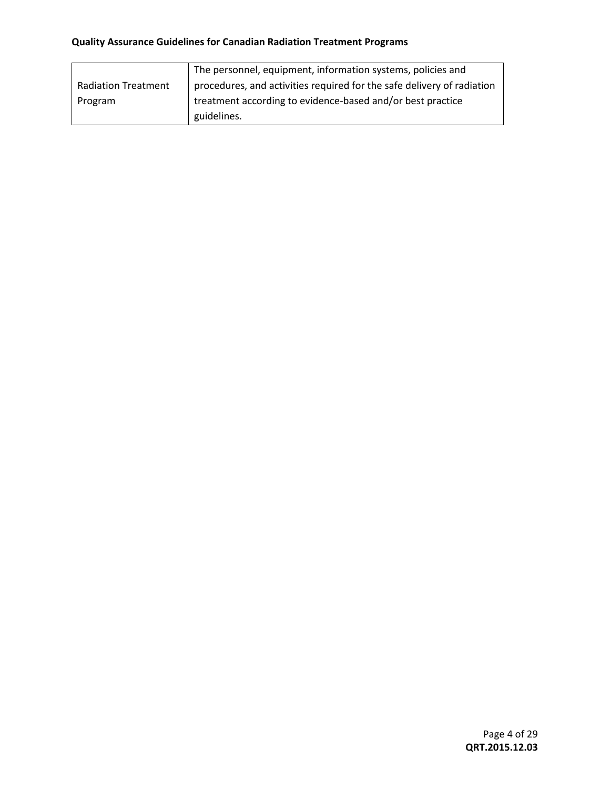| The personnel, equipment, information systems, policies and |                                                                        |  |
|-------------------------------------------------------------|------------------------------------------------------------------------|--|
| <b>Radiation Treatment</b>                                  | procedures, and activities required for the safe delivery of radiation |  |
| Program                                                     | treatment according to evidence-based and/or best practice             |  |
|                                                             | guidelines.                                                            |  |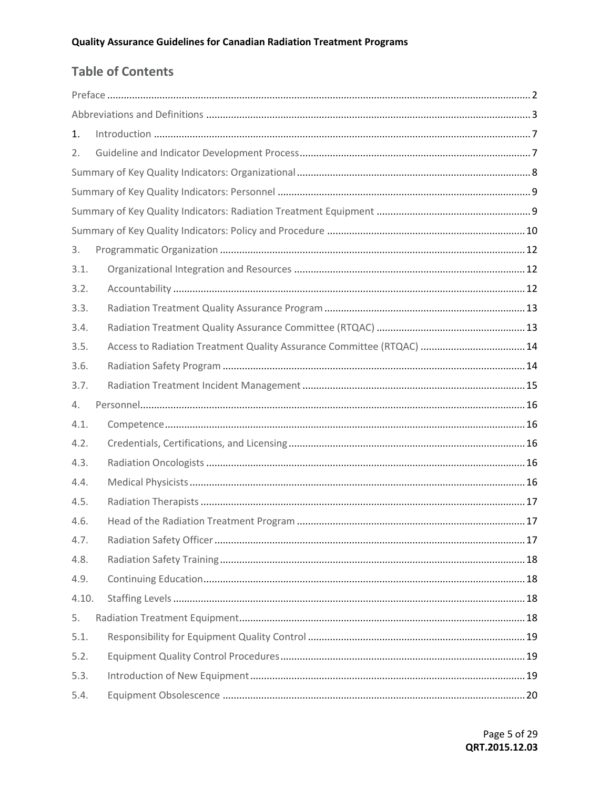# **Table of Contents**

| 1.    |                                                                       |  |
|-------|-----------------------------------------------------------------------|--|
| 2.    |                                                                       |  |
|       |                                                                       |  |
|       |                                                                       |  |
|       |                                                                       |  |
|       |                                                                       |  |
| 3.    |                                                                       |  |
| 3.1.  |                                                                       |  |
| 3.2.  |                                                                       |  |
| 3.3.  |                                                                       |  |
| 3.4.  |                                                                       |  |
| 3.5.  | Access to Radiation Treatment Quality Assurance Committee (RTQAC)  14 |  |
| 3.6.  |                                                                       |  |
| 3.7.  |                                                                       |  |
| 4.    |                                                                       |  |
| 4.1.  |                                                                       |  |
| 4.2.  |                                                                       |  |
| 4.3.  |                                                                       |  |
| 4.4.  |                                                                       |  |
| 4.5.  |                                                                       |  |
| 4.6.  |                                                                       |  |
| 4.7.  |                                                                       |  |
| 4.8.  |                                                                       |  |
| 4.9.  |                                                                       |  |
| 4.10. |                                                                       |  |
| 5.    |                                                                       |  |
| 5.1.  |                                                                       |  |
| 5.2.  |                                                                       |  |
| 5.3.  |                                                                       |  |
| 5.4.  |                                                                       |  |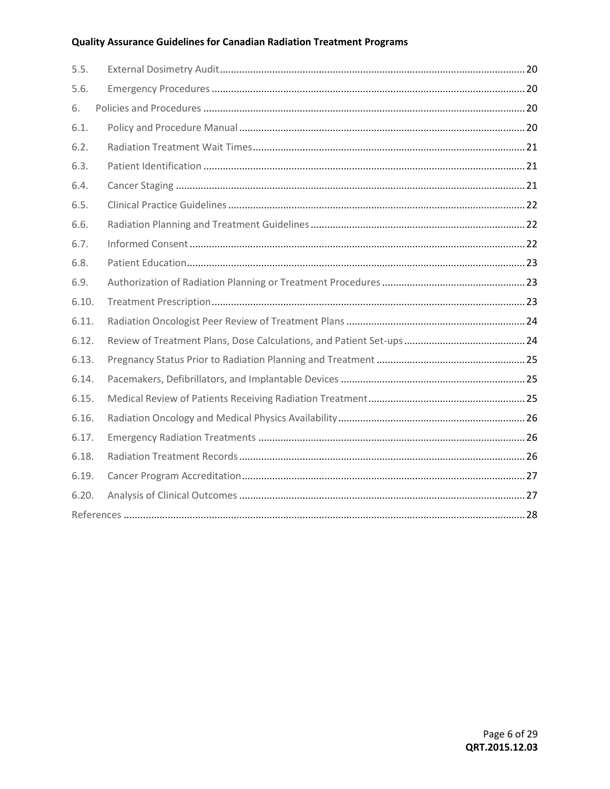| 5.5.  |  |
|-------|--|
| 5.6.  |  |
| 6.    |  |
| 6.1.  |  |
| 6.2.  |  |
| 6.3.  |  |
| 6.4.  |  |
| 6.5.  |  |
| 6.6.  |  |
| 6.7.  |  |
| 6.8.  |  |
| 6.9.  |  |
| 6.10. |  |
| 6.11. |  |
| 6.12. |  |
| 6.13. |  |
| 6.14. |  |
| 6.15. |  |
| 6.16. |  |
| 6.17. |  |
| 6.18. |  |
| 6.19. |  |
| 6.20. |  |
|       |  |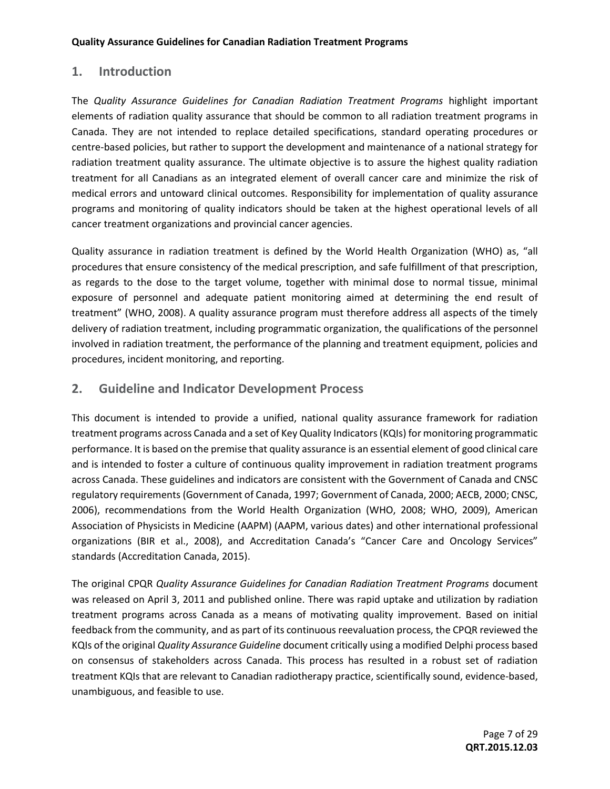#### **1. Introduction**

The *Quality Assurance Guidelines for Canadian Radiation Treatment Programs* highlight important elements of radiation quality assurance that should be common to all radiation treatment programs in Canada. They are not intended to replace detailed specifications, standard operating procedures or centre-based policies, but rather to support the development and maintenance of a national strategy for radiation treatment quality assurance. The ultimate objective is to assure the highest quality radiation treatment for all Canadians as an integrated element of overall cancer care and minimize the risk of medical errors and untoward clinical outcomes. Responsibility for implementation of quality assurance programs and monitoring of quality indicators should be taken at the highest operational levels of all cancer treatment organizations and provincial cancer agencies.

Quality assurance in radiation treatment is defined by the World Health Organization (WHO) as, "all procedures that ensure consistency of the medical prescription, and safe fulfillment of that prescription, as regards to the dose to the target volume, together with minimal dose to normal tissue, minimal exposure of personnel and adequate patient monitoring aimed at determining the end result of treatment" (WHO, 2008). A quality assurance program must therefore address all aspects of the timely delivery of radiation treatment, including programmatic organization, the qualifications of the personnel involved in radiation treatment, the performance of the planning and treatment equipment, policies and procedures, incident monitoring, and reporting.

#### **2. Guideline and Indicator Development Process**

This document is intended to provide a unified, national quality assurance framework for radiation treatment programs across Canada and a set of Key Quality Indicators (KQIs) for monitoring programmatic performance. It is based on the premise that quality assurance is an essential element of good clinical care and is intended to foster a culture of continuous quality improvement in radiation treatment programs across Canada. These guidelines and indicators are consistent with the Government of Canada and CNSC regulatory requirements (Government of Canada, 1997; Government of Canada, 2000; AECB, 2000; CNSC, 2006), recommendations from the World Health Organization (WHO, 2008; WHO, 2009), American Association of Physicists in Medicine (AAPM) (AAPM, various dates) and other international professional organizations (BIR et al., 2008), and Accreditation Canada's "Cancer Care and Oncology Services" standards (Accreditation Canada, 2015).

The original CPQR *Quality Assurance Guidelines for Canadian Radiation Treatment Programs* document was released on April 3, 2011 and published online. There was rapid uptake and utilization by radiation treatment programs across Canada as a means of motivating quality improvement. Based on initial feedback from the community, and as part of its continuous reevaluation process, the CPQR reviewed the KQIs of the original *Quality Assurance Guideline* document critically using a modified Delphi process based on consensus of stakeholders across Canada. This process has resulted in a robust set of radiation treatment KQIs that are relevant to Canadian radiotherapy practice, scientifically sound, evidence-based, unambiguous, and feasible to use.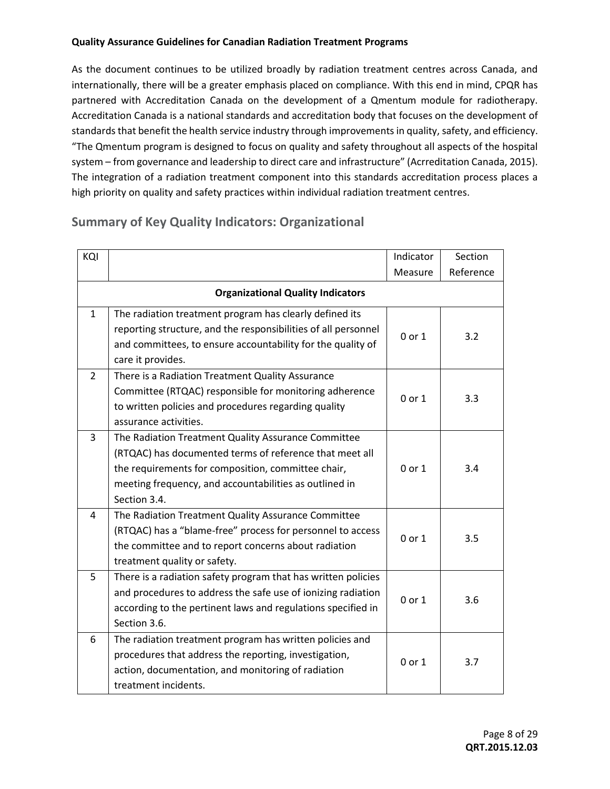As the document continues to be utilized broadly by radiation treatment centres across Canada, and internationally, there will be a greater emphasis placed on compliance. With this end in mind, CPQR has partnered with Accreditation Canada on the development of a Qmentum module for radiotherapy. Accreditation Canada is a national standards and accreditation body that focuses on the development of standards that benefit the health service industry through improvements in quality, safety, and efficiency. "The Qmentum program is designed to focus on quality and safety throughout all aspects of the hospital system – from governance and leadership to direct care and infrastructure" (Acrreditation Canada, 2015). The integration of a radiation treatment component into this standards accreditation process places a high priority on quality and safety practices within individual radiation treatment centres.

## **Summary of Key Quality Indicators: Organizational**

| KQI          |                                                                               | Indicator  | Section   |
|--------------|-------------------------------------------------------------------------------|------------|-----------|
|              |                                                                               | Measure    | Reference |
|              | <b>Organizational Quality Indicators</b>                                      |            |           |
| $\mathbf{1}$ | The radiation treatment program has clearly defined its                       |            |           |
|              | reporting structure, and the responsibilities of all personnel                | 0 or 1     | 3.2       |
|              | and committees, to ensure accountability for the quality of                   |            |           |
|              | care it provides.                                                             |            |           |
| 2            | There is a Radiation Treatment Quality Assurance                              |            |           |
|              | Committee (RTQAC) responsible for monitoring adherence                        | 0 or 1     | 3.3       |
|              | to written policies and procedures regarding quality<br>assurance activities. |            |           |
| 3            | The Radiation Treatment Quality Assurance Committee                           |            |           |
|              | (RTQAC) has documented terms of reference that meet all                       |            |           |
|              | the requirements for composition, committee chair,                            | 0 or 1     | 3.4       |
|              | meeting frequency, and accountabilities as outlined in                        |            |           |
|              | Section 3.4.                                                                  |            |           |
| 4            | The Radiation Treatment Quality Assurance Committee                           |            |           |
|              | (RTQAC) has a "blame-free" process for personnel to access                    |            |           |
|              | the committee and to report concerns about radiation                          | $0$ or $1$ | 3.5       |
|              | treatment quality or safety.                                                  |            |           |
| 5            | There is a radiation safety program that has written policies                 |            |           |
|              | and procedures to address the safe use of ionizing radiation                  | 0 or 1     | 3.6       |
|              | according to the pertinent laws and regulations specified in                  |            |           |
|              | Section 3.6.                                                                  |            |           |
| 6            | The radiation treatment program has written policies and                      | $0$ or $1$ | 3.7       |
|              | procedures that address the reporting, investigation,                         |            |           |
|              | action, documentation, and monitoring of radiation                            |            |           |
|              | treatment incidents.                                                          |            |           |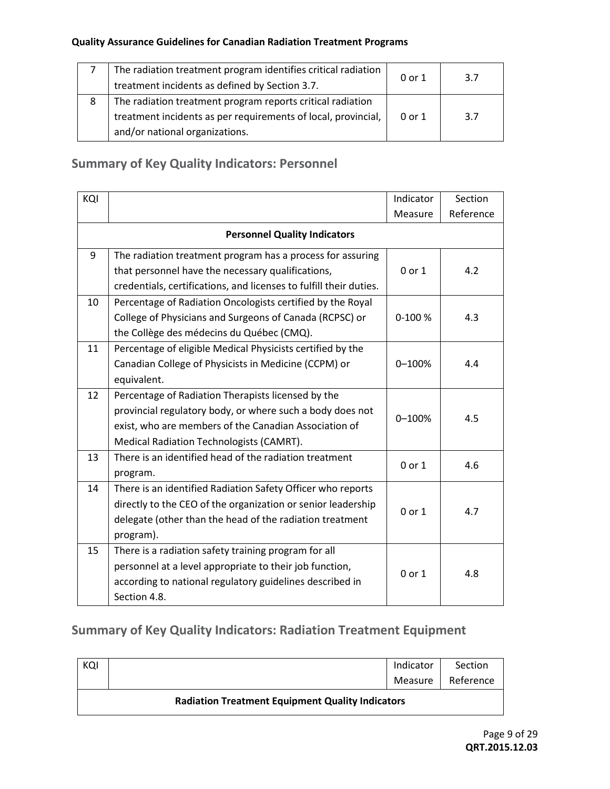|   | The radiation treatment program identifies critical radiation | 0 or 1 | 3.7 |
|---|---------------------------------------------------------------|--------|-----|
|   | treatment incidents as defined by Section 3.7.                |        |     |
| 8 | The radiation treatment program reports critical radiation    |        |     |
|   | treatment incidents as per requirements of local, provincial, | 0 or 1 | 3.7 |
|   | and/or national organizations.                                |        |     |

# **Summary of Key Quality Indicators: Personnel**

| KQI |                                                                    | Indicator  | Section   |
|-----|--------------------------------------------------------------------|------------|-----------|
|     |                                                                    | Measure    | Reference |
|     | <b>Personnel Quality Indicators</b>                                |            |           |
| 9   | The radiation treatment program has a process for assuring         |            |           |
|     | that personnel have the necessary qualifications,                  | $0$ or $1$ | 4.2       |
|     | credentials, certifications, and licenses to fulfill their duties. |            |           |
| 10  | Percentage of Radiation Oncologists certified by the Royal         |            |           |
|     | College of Physicians and Surgeons of Canada (RCPSC) or            | 0-100 %    | 4.3       |
|     | the Collège des médecins du Québec (CMQ).                          |            |           |
| 11  | Percentage of eligible Medical Physicists certified by the         |            |           |
|     | Canadian College of Physicists in Medicine (CCPM) or               | $0 - 100%$ | 4.4       |
|     | equivalent.                                                        |            |           |
| 12  | Percentage of Radiation Therapists licensed by the                 |            |           |
|     | provincial regulatory body, or where such a body does not          | $0 - 100%$ | 4.5       |
|     | exist, who are members of the Canadian Association of              |            |           |
|     | Medical Radiation Technologists (CAMRT).                           |            |           |
| 13  | There is an identified head of the radiation treatment             | 0 or 1     | 4.6       |
|     | program.                                                           |            |           |
| 14  | There is an identified Radiation Safety Officer who reports        |            |           |
|     | directly to the CEO of the organization or senior leadership       | 0 or 1     | 4.7       |
|     | delegate (other than the head of the radiation treatment           |            |           |
|     | program).                                                          |            |           |
| 15  | There is a radiation safety training program for all               |            |           |
|     | personnel at a level appropriate to their job function,            | $0$ or $1$ | 4.8       |
|     | according to national regulatory guidelines described in           |            |           |
|     | Section 4.8.                                                       |            |           |

# **Summary of Key Quality Indicators: Radiation Treatment Equipment**

| KQI                                                     |  | Indicator | Section   |  |
|---------------------------------------------------------|--|-----------|-----------|--|
|                                                         |  | Measure   | Reference |  |
| <b>Radiation Treatment Equipment Quality Indicators</b> |  |           |           |  |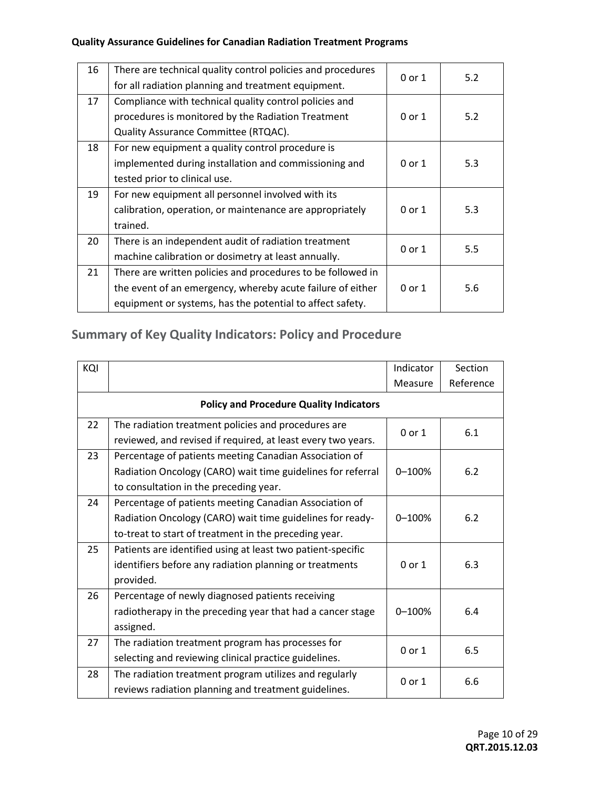| 16 | There are technical quality control policies and procedures | 0 or 1 | 5.2 |
|----|-------------------------------------------------------------|--------|-----|
|    | for all radiation planning and treatment equipment.         |        |     |
| 17 | Compliance with technical quality control policies and      |        |     |
|    | procedures is monitored by the Radiation Treatment          | 0 or 1 | 5.2 |
|    | Quality Assurance Committee (RTQAC).                        |        |     |
| 18 | For new equipment a quality control procedure is            |        |     |
|    | implemented during installation and commissioning and       | 0 or 1 | 5.3 |
|    | tested prior to clinical use.                               |        |     |
| 19 | For new equipment all personnel involved with its           |        |     |
|    | calibration, operation, or maintenance are appropriately    | 0 or 1 | 5.3 |
|    | trained.                                                    |        |     |
| 20 | There is an independent audit of radiation treatment        |        |     |
|    | machine calibration or dosimetry at least annually.         | 0 or 1 | 5.5 |
| 21 | There are written policies and procedures to be followed in |        |     |
|    | the event of an emergency, whereby acute failure of either  | 0 or 1 | 5.6 |
|    | equipment or systems, has the potential to affect safety.   |        |     |
|    |                                                             |        |     |

# **Summary of Key Quality Indicators: Policy and Procedure**

| KQI |                                                              | Indicator  | Section   |
|-----|--------------------------------------------------------------|------------|-----------|
|     |                                                              | Measure    | Reference |
|     | <b>Policy and Procedure Quality Indicators</b>               |            |           |
| 22  | The radiation treatment policies and procedures are          | $0$ or $1$ | 6.1       |
|     | reviewed, and revised if required, at least every two years. |            |           |
| 23  | Percentage of patients meeting Canadian Association of       |            |           |
|     | Radiation Oncology (CARO) wait time guidelines for referral  | $0 - 100%$ | 6.2       |
|     | to consultation in the preceding year.                       |            |           |
| 24  | Percentage of patients meeting Canadian Association of       |            |           |
|     | Radiation Oncology (CARO) wait time guidelines for ready-    | $0 - 100%$ | 6.2       |
|     | to-treat to start of treatment in the preceding year.        |            |           |
| 25  | Patients are identified using at least two patient-specific  |            |           |
|     | identifiers before any radiation planning or treatments      | 0 or 1     | 6.3       |
|     | provided.                                                    |            |           |
| 26  | Percentage of newly diagnosed patients receiving             |            |           |
|     | radiotherapy in the preceding year that had a cancer stage   | $0 - 100%$ | 6.4       |
|     | assigned.                                                    |            |           |
| 27  | The radiation treatment program has processes for            | 0 or 1     | 6.5       |
|     | selecting and reviewing clinical practice guidelines.        |            |           |
| 28  | The radiation treatment program utilizes and regularly       | $0$ or $1$ | 6.6       |
|     | reviews radiation planning and treatment guidelines.         |            |           |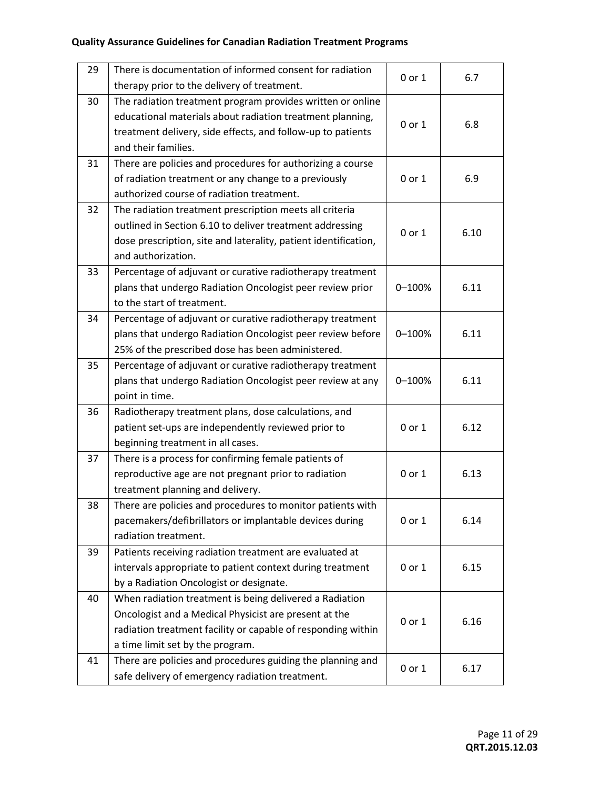| 29 | There is documentation of informed consent for radiation<br>therapy prior to the delivery of treatment.                                                                                                              | 0 or 1 | 6.7  |
|----|----------------------------------------------------------------------------------------------------------------------------------------------------------------------------------------------------------------------|--------|------|
| 30 | The radiation treatment program provides written or online<br>educational materials about radiation treatment planning,<br>treatment delivery, side effects, and follow-up to patients<br>and their families.        | 0 or 1 | 6.8  |
| 31 | There are policies and procedures for authorizing a course<br>of radiation treatment or any change to a previously<br>authorized course of radiation treatment.                                                      | 0 or 1 | 6.9  |
| 32 | The radiation treatment prescription meets all criteria<br>outlined in Section 6.10 to deliver treatment addressing<br>dose prescription, site and laterality, patient identification,<br>and authorization.         | 0 or 1 | 6.10 |
| 33 | Percentage of adjuvant or curative radiotherapy treatment<br>plans that undergo Radiation Oncologist peer review prior<br>to the start of treatment.                                                                 | 0-100% | 6.11 |
| 34 | Percentage of adjuvant or curative radiotherapy treatment<br>plans that undergo Radiation Oncologist peer review before<br>25% of the prescribed dose has been administered.                                         | 0-100% | 6.11 |
| 35 | Percentage of adjuvant or curative radiotherapy treatment<br>plans that undergo Radiation Oncologist peer review at any<br>point in time.                                                                            | 0-100% | 6.11 |
| 36 | Radiotherapy treatment plans, dose calculations, and<br>patient set-ups are independently reviewed prior to<br>beginning treatment in all cases.                                                                     | 0 or 1 | 6.12 |
| 37 | There is a process for confirming female patients of<br>reproductive age are not pregnant prior to radiation<br>treatment planning and delivery.                                                                     | 0 or 1 | 6.13 |
| 38 | There are policies and procedures to monitor patients with<br>pacemakers/defibrillators or implantable devices during<br>radiation treatment.                                                                        | 0 or 1 | 6.14 |
| 39 | Patients receiving radiation treatment are evaluated at<br>intervals appropriate to patient context during treatment<br>by a Radiation Oncologist or designate.                                                      | 0 or 1 | 6.15 |
| 40 | When radiation treatment is being delivered a Radiation<br>Oncologist and a Medical Physicist are present at the<br>radiation treatment facility or capable of responding within<br>a time limit set by the program. | 0 or 1 | 6.16 |
| 41 | There are policies and procedures guiding the planning and<br>safe delivery of emergency radiation treatment.                                                                                                        | 0 or 1 | 6.17 |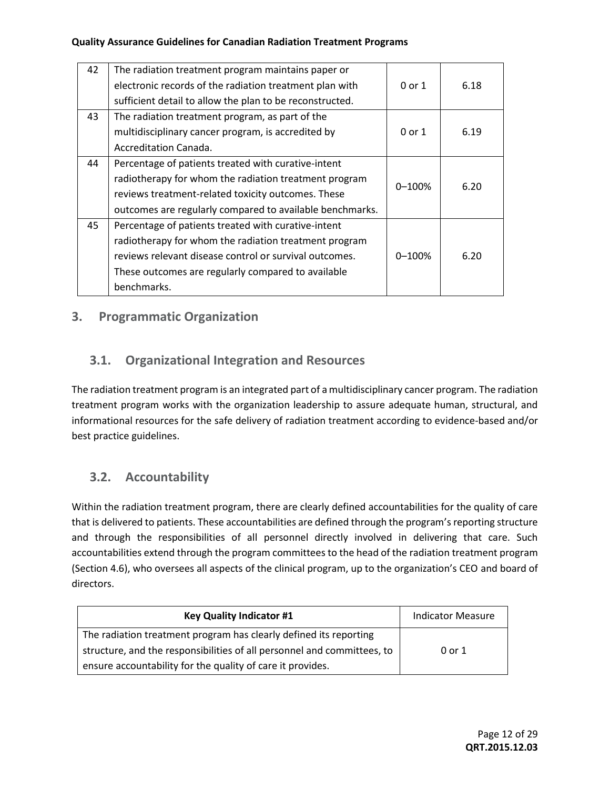| 42 | The radiation treatment program maintains paper or       |            |      |
|----|----------------------------------------------------------|------------|------|
|    | electronic records of the radiation treatment plan with  | 0 or 1     | 6.18 |
|    | sufficient detail to allow the plan to be reconstructed. |            |      |
| 43 | The radiation treatment program, as part of the          |            |      |
|    | multidisciplinary cancer program, is accredited by       | $0$ or $1$ | 6.19 |
|    | Accreditation Canada.                                    |            |      |
| 44 | Percentage of patients treated with curative-intent      |            |      |
|    | radiotherapy for whom the radiation treatment program    | $0 - 100%$ | 6.20 |
|    | reviews treatment-related toxicity outcomes. These       |            |      |
|    | outcomes are regularly compared to available benchmarks. |            |      |
| 45 | Percentage of patients treated with curative-intent      |            |      |
|    | radiotherapy for whom the radiation treatment program    |            |      |
|    | reviews relevant disease control or survival outcomes.   | $0 - 100%$ | 6.20 |
|    | These outcomes are regularly compared to available       |            |      |
|    | benchmarks.                                              |            |      |

#### **3. Programmatic Organization**

#### **3.1. Organizational Integration and Resources**

The radiation treatment program is an integrated part of a multidisciplinary cancer program. The radiation treatment program works with the organization leadership to assure adequate human, structural, and informational resources for the safe delivery of radiation treatment according to evidence-based and/or best practice guidelines.

#### **3.2. Accountability**

Within the radiation treatment program, there are clearly defined accountabilities for the quality of care that is delivered to patients. These accountabilities are defined through the program's reporting structure and through the responsibilities of all personnel directly involved in delivering that care. Such accountabilities extend through the program committees to the head of the radiation treatment program (Section 4.6), who oversees all aspects of the clinical program, up to the organization's CEO and board of directors.

| <b>Key Quality Indicator #1</b>                                         | <b>Indicator Measure</b> |
|-------------------------------------------------------------------------|--------------------------|
| The radiation treatment program has clearly defined its reporting       |                          |
| structure, and the responsibilities of all personnel and committees, to | 0 or 1                   |
| ensure accountability for the quality of care it provides.              |                          |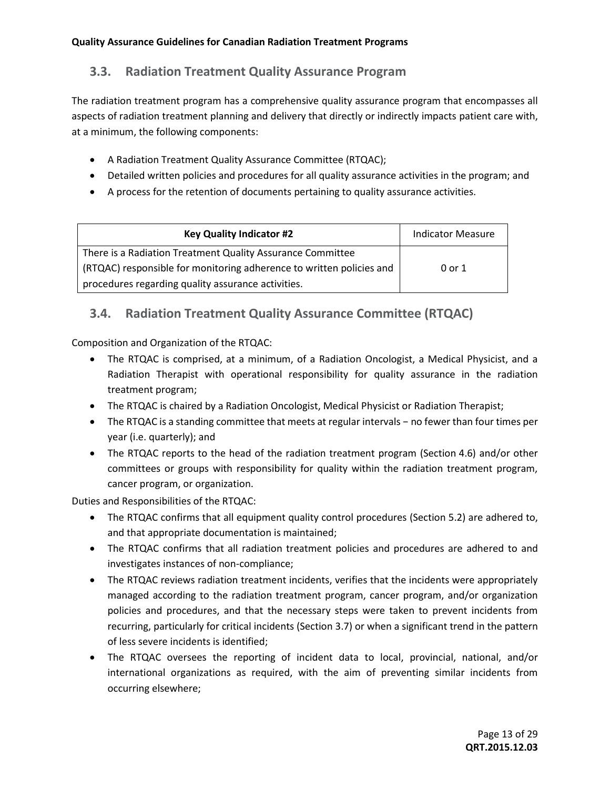### **3.3. Radiation Treatment Quality Assurance Program**

The radiation treatment program has a comprehensive quality assurance program that encompasses all aspects of radiation treatment planning and delivery that directly or indirectly impacts patient care with, at a minimum, the following components:

- A Radiation Treatment Quality Assurance Committee (RTQAC);
- Detailed written policies and procedures for all quality assurance activities in the program; and
- A process for the retention of documents pertaining to quality assurance activities.

| <b>Key Quality Indicator #2</b>                                      | <b>Indicator Measure</b> |
|----------------------------------------------------------------------|--------------------------|
| There is a Radiation Treatment Quality Assurance Committee           |                          |
| (RTQAC) responsible for monitoring adherence to written policies and | 0 or 1                   |
| procedures regarding quality assurance activities.                   |                          |

## **3.4. Radiation Treatment Quality Assurance Committee (RTQAC)**

Composition and Organization of the RTQAC:

- The RTQAC is comprised, at a minimum, of a Radiation Oncologist, a Medical Physicist, and a Radiation Therapist with operational responsibility for quality assurance in the radiation treatment program;
- The RTQAC is chaired by a Radiation Oncologist, Medical Physicist or Radiation Therapist;
- The RTQAC is a standing committee that meets at regular intervals − no fewer than four times per year (i.e. quarterly); and
- The RTQAC reports to the head of the radiation treatment program (Section 4.6) and/or other committees or groups with responsibility for quality within the radiation treatment program, cancer program, or organization.

Duties and Responsibilities of the RTQAC:

- The RTQAC confirms that all equipment quality control procedures (Section 5.2) are adhered to, and that appropriate documentation is maintained;
- The RTQAC confirms that all radiation treatment policies and procedures are adhered to and investigates instances of non-compliance;
- The RTQAC reviews radiation treatment incidents, verifies that the incidents were appropriately managed according to the radiation treatment program, cancer program, and/or organization policies and procedures, and that the necessary steps were taken to prevent incidents from recurring, particularly for critical incidents (Section 3.7) or when a significant trend in the pattern of less severe incidents is identified;
- The RTQAC oversees the reporting of incident data to local, provincial, national, and/or international organizations as required, with the aim of preventing similar incidents from occurring elsewhere;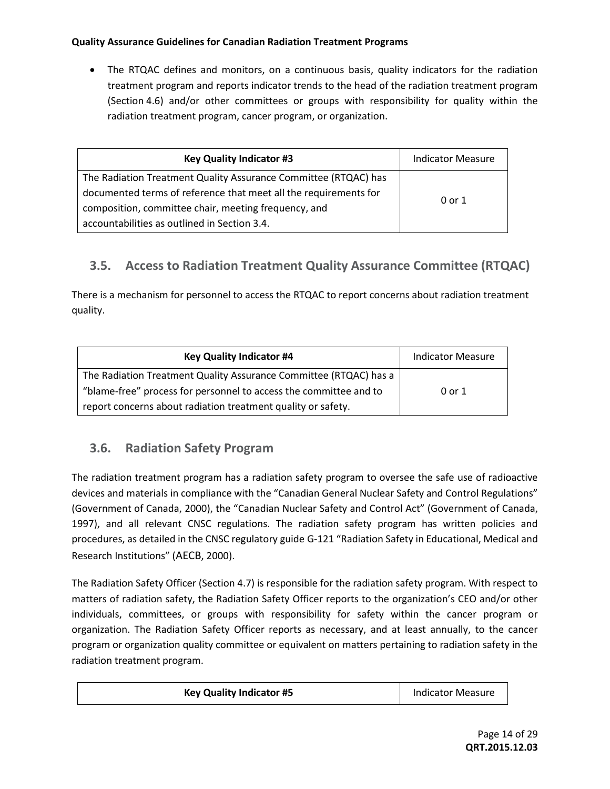The RTQAC defines and monitors, on a continuous basis, quality indicators for the radiation treatment program and reports indicator trends to the head of the radiation treatment program (Section 4.6) and/or other committees or groups with responsibility for quality within the radiation treatment program, cancer program, or organization.

| <b>Key Quality Indicator #3</b>                                  | <b>Indicator Measure</b> |
|------------------------------------------------------------------|--------------------------|
| The Radiation Treatment Quality Assurance Committee (RTQAC) has  |                          |
| documented terms of reference that meet all the requirements for | 0 or 1                   |
| composition, committee chair, meeting frequency, and             |                          |
| accountabilities as outlined in Section 3.4.                     |                          |

## **3.5. Access to Radiation Treatment Quality Assurance Committee (RTQAC)**

There is a mechanism for personnel to access the RTQAC to report concerns about radiation treatment quality.

| <b>Key Quality Indicator #4</b>                                   | <b>Indicator Measure</b> |
|-------------------------------------------------------------------|--------------------------|
| The Radiation Treatment Quality Assurance Committee (RTQAC) has a |                          |
| "blame-free" process for personnel to access the committee and to | 0 or 1                   |
| report concerns about radiation treatment quality or safety.      |                          |

#### **3.6. Radiation Safety Program**

The radiation treatment program has a radiation safety program to oversee the safe use of radioactive devices and materials in compliance with the "Canadian General Nuclear Safety and Control Regulations" (Government of Canada, 2000), the "Canadian Nuclear Safety and Control Act" (Government of Canada, 1997), and all relevant CNSC regulations. The radiation safety program has written policies and procedures, as detailed in the CNSC regulatory guide G-121 "Radiation Safety in Educational, Medical and Research Institutions" (AECB, 2000).

The Radiation Safety Officer (Section 4.7) is responsible for the radiation safety program. With respect to matters of radiation safety, the Radiation Safety Officer reports to the organization's CEO and/or other individuals, committees, or groups with responsibility for safety within the cancer program or organization. The Radiation Safety Officer reports as necessary, and at least annually, to the cancer program or organization quality committee or equivalent on matters pertaining to radiation safety in the radiation treatment program.

| <b>Key Quality Indicator #5</b> | <b>Indicator Measure</b> |
|---------------------------------|--------------------------|
|---------------------------------|--------------------------|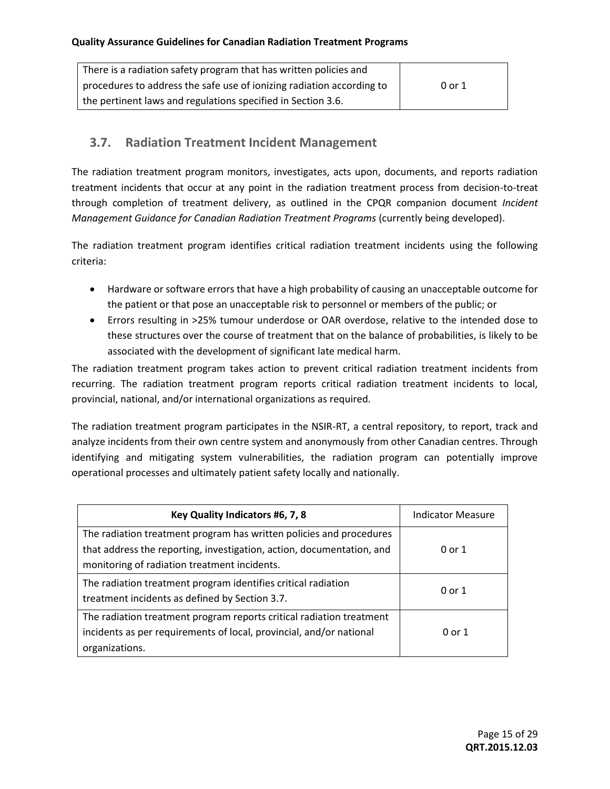| There is a radiation safety program that has written policies and     |        |
|-----------------------------------------------------------------------|--------|
| procedures to address the safe use of ionizing radiation according to | 0 or 1 |
| the pertinent laws and regulations specified in Section 3.6.          |        |

#### **3.7. Radiation Treatment Incident Management**

The radiation treatment program monitors, investigates, acts upon, documents, and reports radiation treatment incidents that occur at any point in the radiation treatment process from decision-to-treat through completion of treatment delivery, as outlined in the CPQR companion document *Incident Management Guidance for Canadian Radiation Treatment Programs* (currently being developed).

The radiation treatment program identifies critical radiation treatment incidents using the following criteria:

- Hardware or software errors that have a high probability of causing an unacceptable outcome for the patient or that pose an unacceptable risk to personnel or members of the public; or
- Errors resulting in >25% tumour underdose or OAR overdose, relative to the intended dose to these structures over the course of treatment that on the balance of probabilities, is likely to be associated with the development of significant late medical harm.

The radiation treatment program takes action to prevent critical radiation treatment incidents from recurring. The radiation treatment program reports critical radiation treatment incidents to local, provincial, national, and/or international organizations as required.

The radiation treatment program participates in the NSIR-RT, a central repository, to report, track and analyze incidents from their own centre system and anonymously from other Canadian centres. Through identifying and mitigating system vulnerabilities, the radiation program can potentially improve operational processes and ultimately patient safety locally and nationally.

| Key Quality Indicators #6, 7, 8                                       | <b>Indicator Measure</b> |
|-----------------------------------------------------------------------|--------------------------|
| The radiation treatment program has written policies and procedures   |                          |
| that address the reporting, investigation, action, documentation, and | 0 or 1                   |
| monitoring of radiation treatment incidents.                          |                          |
| The radiation treatment program identifies critical radiation         |                          |
| treatment incidents as defined by Section 3.7.                        | 0 or 1                   |
| The radiation treatment program reports critical radiation treatment  |                          |
| incidents as per requirements of local, provincial, and/or national   | 0 or 1                   |
| organizations.                                                        |                          |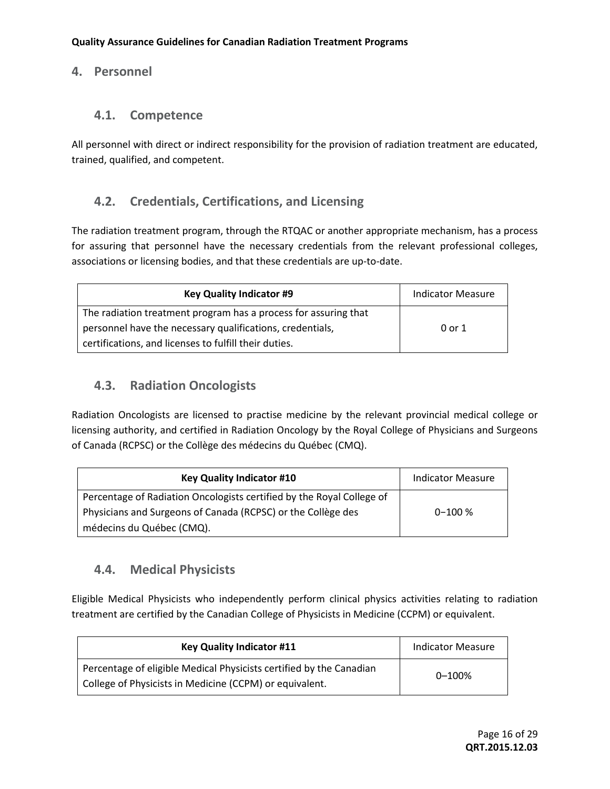#### **4. Personnel**

#### **4.1. Competence**

All personnel with direct or indirect responsibility for the provision of radiation treatment are educated, trained, qualified, and competent.

#### **4.2. Credentials, Certifications, and Licensing**

The radiation treatment program, through the RTQAC or another appropriate mechanism, has a process for assuring that personnel have the necessary credentials from the relevant professional colleges, associations or licensing bodies, and that these credentials are up-to-date.

| <b>Key Quality Indicator #9</b>                                 | <b>Indicator Measure</b> |
|-----------------------------------------------------------------|--------------------------|
| The radiation treatment program has a process for assuring that |                          |
| personnel have the necessary qualifications, credentials,       | 0 or 1                   |
| certifications, and licenses to fulfill their duties.           |                          |

#### **4.3. Radiation Oncologists**

Radiation Oncologists are licensed to practise medicine by the relevant provincial medical college or licensing authority, and certified in Radiation Oncology by the Royal College of Physicians and Surgeons of Canada (RCPSC) or the Collège des médecins du Québec (CMQ).

| <b>Key Quality Indicator #10</b>                                      | <b>Indicator Measure</b> |
|-----------------------------------------------------------------------|--------------------------|
| Percentage of Radiation Oncologists certified by the Royal College of |                          |
| Physicians and Surgeons of Canada (RCPSC) or the Collège des          | $0 - 100 %$              |
| médecins du Québec (CMQ).                                             |                          |

## **4.4. Medical Physicists**

Eligible Medical Physicists who independently perform clinical physics activities relating to radiation treatment are certified by the Canadian College of Physicists in Medicine (CCPM) or equivalent.

| <b>Key Quality Indicator #11</b>                                                                                               | <b>Indicator Measure</b> |
|--------------------------------------------------------------------------------------------------------------------------------|--------------------------|
| Percentage of eligible Medical Physicists certified by the Canadian<br>College of Physicists in Medicine (CCPM) or equivalent. | $0 - 100%$               |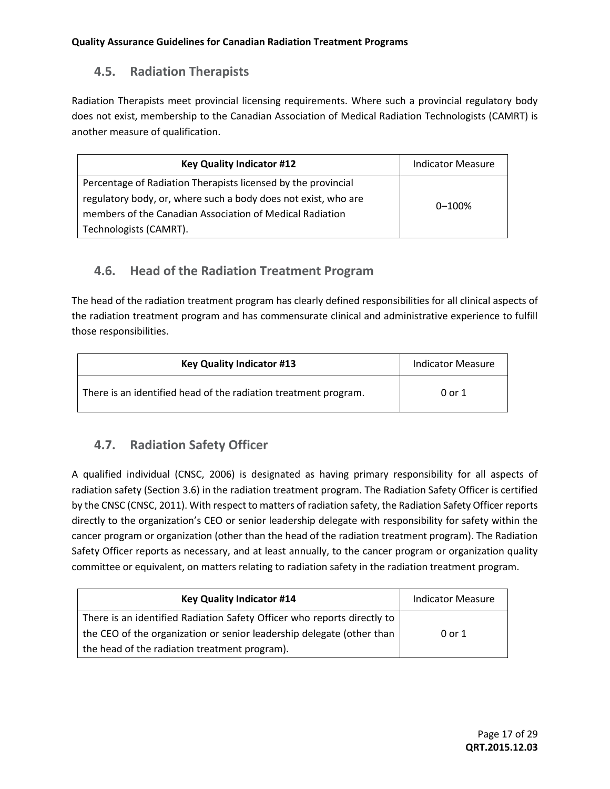### **4.5. Radiation Therapists**

Radiation Therapists meet provincial licensing requirements. Where such a provincial regulatory body does not exist, membership to the Canadian Association of Medical Radiation Technologists (CAMRT) is another measure of qualification.

| <b>Key Quality Indicator #12</b>                               | <b>Indicator Measure</b> |
|----------------------------------------------------------------|--------------------------|
| Percentage of Radiation Therapists licensed by the provincial  |                          |
| regulatory body, or, where such a body does not exist, who are | $0 - 100%$               |
| members of the Canadian Association of Medical Radiation       |                          |
| Technologists (CAMRT).                                         |                          |

## **4.6. Head of the Radiation Treatment Program**

The head of the radiation treatment program has clearly defined responsibilities for all clinical aspects of the radiation treatment program and has commensurate clinical and administrative experience to fulfill those responsibilities.

| <b>Key Quality Indicator #13</b>                                | <b>Indicator Measure</b> |
|-----------------------------------------------------------------|--------------------------|
| There is an identified head of the radiation treatment program. | 0 or 1                   |

## **4.7. Radiation Safety Officer**

A qualified individual (CNSC, 2006) is designated as having primary responsibility for all aspects of radiation safety (Section 3.6) in the radiation treatment program. The Radiation Safety Officer is certified by the CNSC (CNSC, 2011). With respect to matters of radiation safety, the Radiation Safety Officer reports directly to the organization's CEO or senior leadership delegate with responsibility for safety within the cancer program or organization (other than the head of the radiation treatment program). The Radiation Safety Officer reports as necessary, and at least annually, to the cancer program or organization quality committee or equivalent, on matters relating to radiation safety in the radiation treatment program.

| <b>Key Quality Indicator #14</b>                                        | <b>Indicator Measure</b> |
|-------------------------------------------------------------------------|--------------------------|
| There is an identified Radiation Safety Officer who reports directly to |                          |
| the CEO of the organization or senior leadership delegate (other than   | 0 or 1                   |
| the head of the radiation treatment program).                           |                          |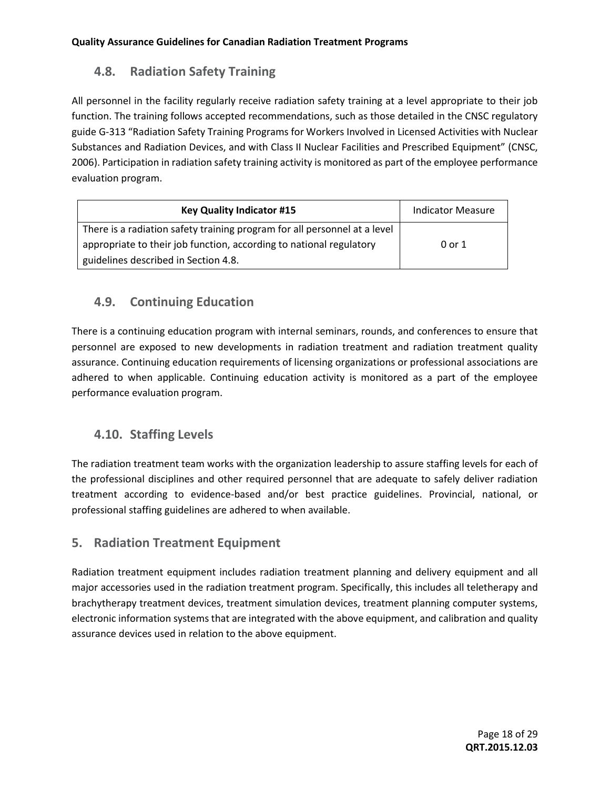# **4.8. Radiation Safety Training**

All personnel in the facility regularly receive radiation safety training at a level appropriate to their job function. The training follows accepted recommendations, such as those detailed in the CNSC regulatory guide G-313 "Radiation Safety Training Programs for Workers Involved in Licensed Activities with Nuclear Substances and Radiation Devices, and with Class II Nuclear Facilities and Prescribed Equipment" (CNSC, 2006). Participation in radiation safety training activity is monitored as part of the employee performance evaluation program.

| <b>Key Quality Indicator #15</b>                                          | <b>Indicator Measure</b> |
|---------------------------------------------------------------------------|--------------------------|
| There is a radiation safety training program for all personnel at a level |                          |
| appropriate to their job function, according to national regulatory       | 0 or 1                   |
| guidelines described in Section 4.8.                                      |                          |

## **4.9. Continuing Education**

There is a continuing education program with internal seminars, rounds, and conferences to ensure that personnel are exposed to new developments in radiation treatment and radiation treatment quality assurance. Continuing education requirements of licensing organizations or professional associations are adhered to when applicable. Continuing education activity is monitored as a part of the employee performance evaluation program.

## **4.10. Staffing Levels**

The radiation treatment team works with the organization leadership to assure staffing levels for each of the professional disciplines and other required personnel that are adequate to safely deliver radiation treatment according to evidence-based and/or best practice guidelines. Provincial, national, or professional staffing guidelines are adhered to when available.

#### **5. Radiation Treatment Equipment**

Radiation treatment equipment includes radiation treatment planning and delivery equipment and all major accessories used in the radiation treatment program. Specifically, this includes all teletherapy and brachytherapy treatment devices, treatment simulation devices, treatment planning computer systems, electronic information systems that are integrated with the above equipment, and calibration and quality assurance devices used in relation to the above equipment.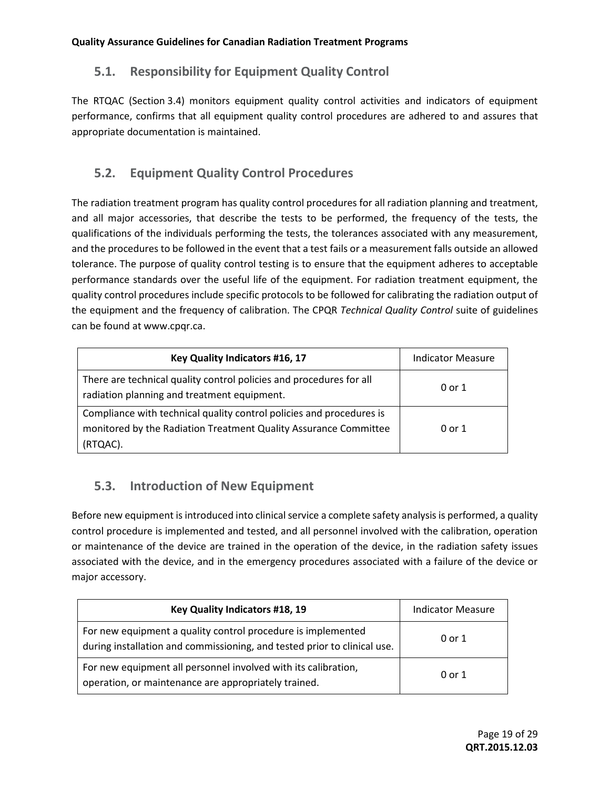## **5.1. Responsibility for Equipment Quality Control**

The RTQAC (Section 3.4) monitors equipment quality control activities and indicators of equipment performance, confirms that all equipment quality control procedures are adhered to and assures that appropriate documentation is maintained.

# **5.2. Equipment Quality Control Procedures**

The radiation treatment program has quality control procedures for all radiation planning and treatment, and all major accessories, that describe the tests to be performed, the frequency of the tests, the qualifications of the individuals performing the tests, the tolerances associated with any measurement, and the procedures to be followed in the event that a test fails or a measurement falls outside an allowed tolerance. The purpose of quality control testing is to ensure that the equipment adheres to acceptable performance standards over the useful life of the equipment. For radiation treatment equipment, the quality control procedures include specific protocols to be followed for calibrating the radiation output of the equipment and the frequency of calibration. The CPQR *Technical Quality Control* suite of guidelines can be found at [www.cpqr.ca.](http://www.cpqr.ca/)

| Key Quality Indicators #16, 17                                                                                                                       | <b>Indicator Measure</b> |
|------------------------------------------------------------------------------------------------------------------------------------------------------|--------------------------|
| There are technical quality control policies and procedures for all<br>radiation planning and treatment equipment.                                   | 0 or 1                   |
| Compliance with technical quality control policies and procedures is<br>monitored by the Radiation Treatment Quality Assurance Committee<br>(RTQAC). | 0 or 1                   |

## **5.3. Introduction of New Equipment**

Before new equipment is introduced into clinical service a complete safety analysis is performed, a quality control procedure is implemented and tested, and all personnel involved with the calibration, operation or maintenance of the device are trained in the operation of the device, in the radiation safety issues associated with the device, and in the emergency procedures associated with a failure of the device or major accessory.

| Key Quality Indicators #18, 19                                                                                                           | Indicator Measure |
|------------------------------------------------------------------------------------------------------------------------------------------|-------------------|
| For new equipment a quality control procedure is implemented<br>during installation and commissioning, and tested prior to clinical use. | 0 or 1            |
| For new equipment all personnel involved with its calibration,<br>operation, or maintenance are appropriately trained.                   | 0 or 1            |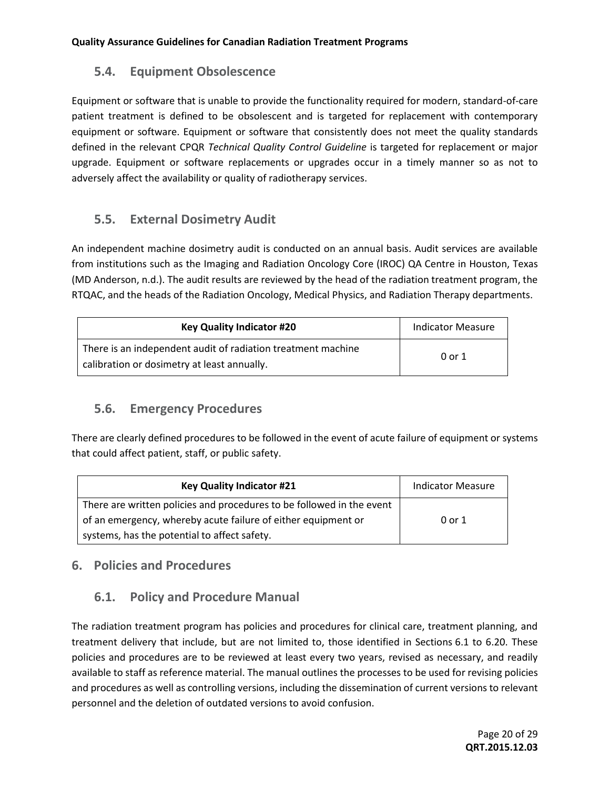#### **5.4. Equipment Obsolescence**

Equipment or software that is unable to provide the functionality required for modern, standard-of-care patient treatment is defined to be obsolescent and is targeted for replacement with contemporary equipment or software. Equipment or software that consistently does not meet the quality standards defined in the relevant CPQR *Technical Quality Control Guideline* is targeted for replacement or major upgrade. Equipment or software replacements or upgrades occur in a timely manner so as not to adversely affect the availability or quality of radiotherapy services.

## **5.5. External Dosimetry Audit**

An independent machine dosimetry audit is conducted on an annual basis. Audit services are available from institutions such as the Imaging and Radiation Oncology Core (IROC) QA Centre in Houston, Texas (MD Anderson, n.d.). The audit results are reviewed by the head of the radiation treatment program, the RTQAC, and the heads of the Radiation Oncology, Medical Physics, and Radiation Therapy departments.

| <b>Key Quality Indicator #20</b>                                                                            | <b>Indicator Measure</b> |
|-------------------------------------------------------------------------------------------------------------|--------------------------|
| There is an independent audit of radiation treatment machine<br>calibration or dosimetry at least annually. | 0 or 1                   |

#### **5.6. Emergency Procedures**

There are clearly defined procedures to be followed in the event of acute failure of equipment or systems that could affect patient, staff, or public safety.

| <b>Key Quality Indicator #21</b>                                      | <b>Indicator Measure</b> |
|-----------------------------------------------------------------------|--------------------------|
| There are written policies and procedures to be followed in the event |                          |
| of an emergency, whereby acute failure of either equipment or         | 0 or 1                   |
| systems, has the potential to affect safety.                          |                          |

#### **6. Policies and Procedures**

## **6.1. Policy and Procedure Manual**

The radiation treatment program has policies and procedures for clinical care, treatment planning, and treatment delivery that include, but are not limited to, those identified in Sections 6.1 to 6.20. These policies and procedures are to be reviewed at least every two years, revised as necessary, and readily available to staff as reference material. The manual outlines the processes to be used for revising policies and procedures as well as controlling versions, including the dissemination of current versions to relevant personnel and the deletion of outdated versions to avoid confusion.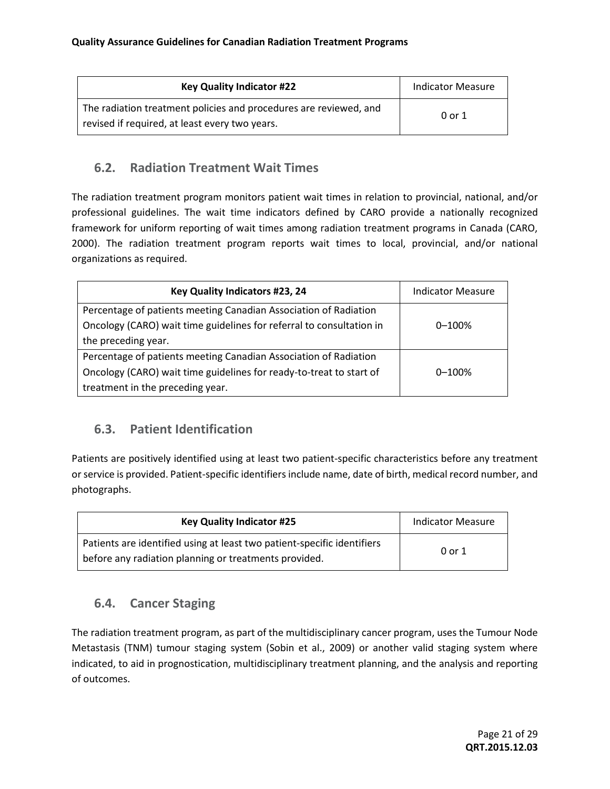| <b>Key Quality Indicator #22</b>                                                                                    | <b>Indicator Measure</b> |
|---------------------------------------------------------------------------------------------------------------------|--------------------------|
| The radiation treatment policies and procedures are reviewed, and<br>revised if required, at least every two years. | 0 or 1                   |

#### **6.2. Radiation Treatment Wait Times**

The radiation treatment program monitors patient wait times in relation to provincial, national, and/or professional guidelines. The wait time indicators defined by CARO provide a nationally recognized framework for uniform reporting of wait times among radiation treatment programs in Canada (CARO, 2000). The radiation treatment program reports wait times to local, provincial, and/or national organizations as required.

| Key Quality Indicators #23, 24                                       | <b>Indicator Measure</b> |
|----------------------------------------------------------------------|--------------------------|
| Percentage of patients meeting Canadian Association of Radiation     |                          |
| Oncology (CARO) wait time guidelines for referral to consultation in | $0 - 100%$               |
| the preceding year.                                                  |                          |
| Percentage of patients meeting Canadian Association of Radiation     |                          |
| Oncology (CARO) wait time guidelines for ready-to-treat to start of  | $0 - 100%$               |
| treatment in the preceding year.                                     |                          |

## **6.3. Patient Identification**

Patients are positively identified using at least two patient-specific characteristics before any treatment or service is provided. Patient-specific identifiers include name, date of birth, medical record number, and photographs.

| <b>Key Quality Indicator #25</b>                                                                                                 | <b>Indicator Measure</b> |
|----------------------------------------------------------------------------------------------------------------------------------|--------------------------|
| Patients are identified using at least two patient-specific identifiers<br>before any radiation planning or treatments provided. | 0 or 1                   |

## **6.4. Cancer Staging**

The radiation treatment program, as part of the multidisciplinary cancer program, uses the Tumour Node Metastasis (TNM) tumour staging system (Sobin et al., 2009) or another valid staging system where indicated, to aid in prognostication, multidisciplinary treatment planning, and the analysis and reporting of outcomes.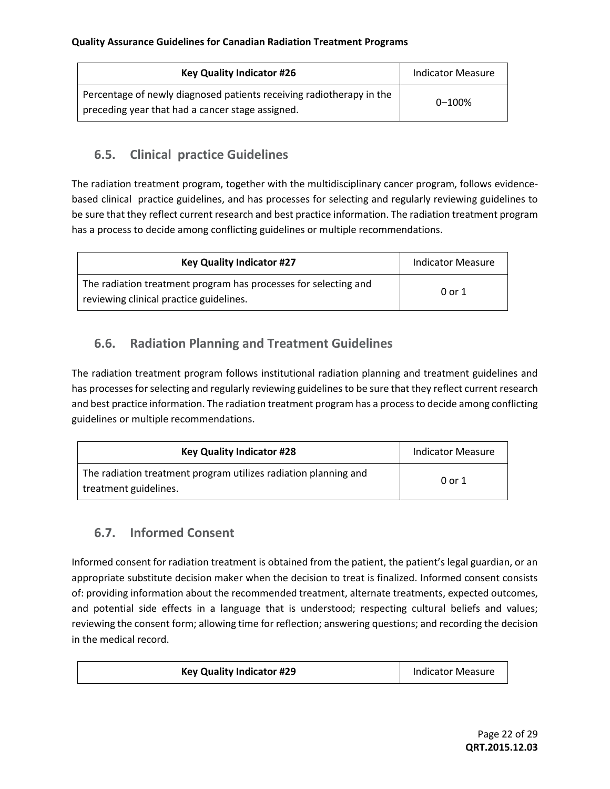| <b>Key Quality Indicator #26</b>                                                                                         | <b>Indicator Measure</b> |
|--------------------------------------------------------------------------------------------------------------------------|--------------------------|
| Percentage of newly diagnosed patients receiving radiotherapy in the<br>preceding year that had a cancer stage assigned. | $0 - 100\%$              |

## **6.5. Clinical practice Guidelines**

The radiation treatment program, together with the multidisciplinary cancer program, follows evidencebased clinical practice guidelines, and has processes for selecting and regularly reviewing guidelines to be sure that they reflect current research and best practice information. The radiation treatment program has a process to decide among conflicting guidelines or multiple recommendations.

| <b>Key Quality Indicator #27</b>                                                                           | <b>Indicator Measure</b> |
|------------------------------------------------------------------------------------------------------------|--------------------------|
| The radiation treatment program has processes for selecting and<br>reviewing clinical practice guidelines. | 0 or 1                   |

## **6.6. Radiation Planning and Treatment Guidelines**

The radiation treatment program follows institutional radiation planning and treatment guidelines and has processes for selecting and regularly reviewing guidelines to be sure that they reflect current research and best practice information. The radiation treatment program has a process to decide among conflicting guidelines or multiple recommendations.

| <b>Key Quality Indicator #28</b>                                                         | <b>Indicator Measure</b> |
|------------------------------------------------------------------------------------------|--------------------------|
| The radiation treatment program utilizes radiation planning and<br>treatment guidelines. | 0 or 1                   |

## **6.7. Informed Consent**

Informed consent for radiation treatment is obtained from the patient, the patient's legal guardian, or an appropriate substitute decision maker when the decision to treat is finalized. Informed consent consists of: providing information about the recommended treatment, alternate treatments, expected outcomes, and potential side effects in a language that is understood; respecting cultural beliefs and values; reviewing the consent form; allowing time for reflection; answering questions; and recording the decision in the medical record.

| <b>Key Quality Indicator #29</b> | <b>Indicator Measure</b> |  |
|----------------------------------|--------------------------|--|
|                                  |                          |  |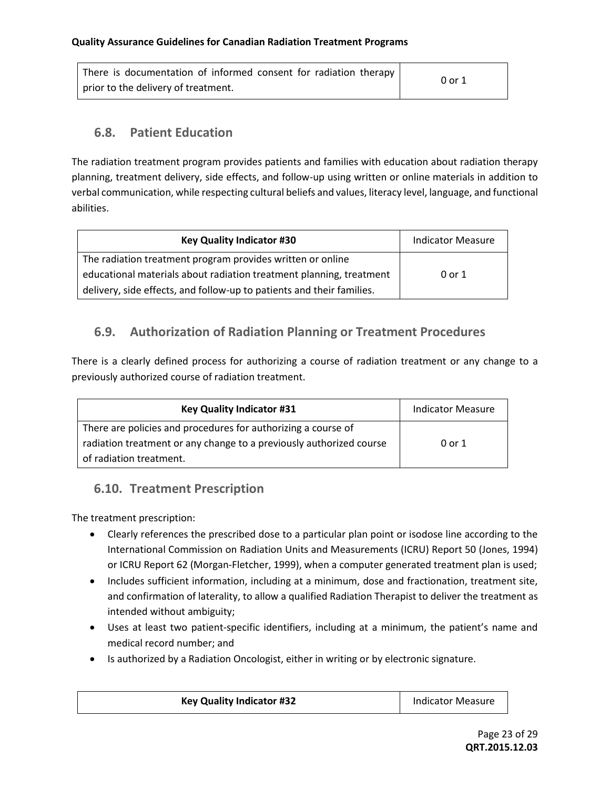| There is documentation of informed consent for radiation therapy | 0 or 1 |
|------------------------------------------------------------------|--------|
| prior to the delivery of treatment.                              |        |

#### **6.8. Patient Education**

The radiation treatment program provides patients and families with education about radiation therapy planning, treatment delivery, side effects, and follow-up using written or online materials in addition to verbal communication, while respecting cultural beliefs and values, literacy level, language, and functional abilities.

| <b>Key Quality Indicator #30</b>                                      | <b>Indicator Measure</b> |
|-----------------------------------------------------------------------|--------------------------|
| The radiation treatment program provides written or online            |                          |
| educational materials about radiation treatment planning, treatment   | 0 or 1                   |
| delivery, side effects, and follow-up to patients and their families. |                          |

## **6.9. Authorization of Radiation Planning or Treatment Procedures**

There is a clearly defined process for authorizing a course of radiation treatment or any change to a previously authorized course of radiation treatment.

| <b>Key Quality Indicator #31</b>                                    | <b>Indicator Measure</b> |
|---------------------------------------------------------------------|--------------------------|
| There are policies and procedures for authorizing a course of       |                          |
| radiation treatment or any change to a previously authorized course | 0 or 1                   |
| of radiation treatment.                                             |                          |

## **6.10. Treatment Prescription**

The treatment prescription:

- Clearly references the prescribed dose to a particular plan point or isodose line according to the International Commission on Radiation Units and Measurements (ICRU) Report 50 (Jones, 1994) or ICRU Report 62 (Morgan-Fletcher, 1999), when a computer generated treatment plan is used;
- Includes sufficient information, including at a minimum, dose and fractionation, treatment site, and confirmation of laterality, to allow a qualified Radiation Therapist to deliver the treatment as intended without ambiguity;
- Uses at least two patient-specific identifiers, including at a minimum, the patient's name and medical record number; and
- Is authorized by a Radiation Oncologist, either in writing or by electronic signature.

| <b>Key Quality Indicator #32</b> | <b>Indicator Measure</b> |  |
|----------------------------------|--------------------------|--|
|----------------------------------|--------------------------|--|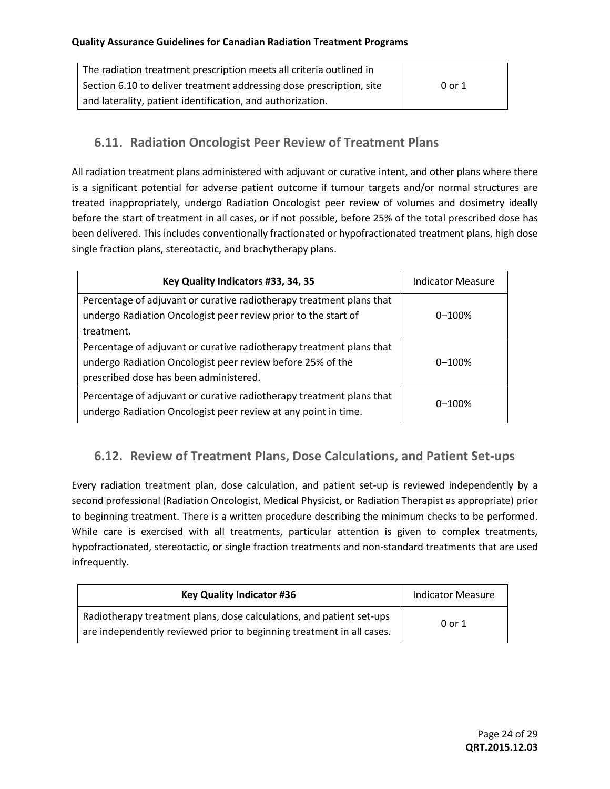| The radiation treatment prescription meets all criteria outlined in  |        |
|----------------------------------------------------------------------|--------|
| Section 6.10 to deliver treatment addressing dose prescription, site | 0 or 1 |
| and laterality, patient identification, and authorization.           |        |

### **6.11. Radiation Oncologist Peer Review of Treatment Plans**

All radiation treatment plans administered with adjuvant or curative intent, and other plans where there is a significant potential for adverse patient outcome if tumour targets and/or normal structures are treated inappropriately, undergo Radiation Oncologist peer review of volumes and dosimetry ideally before the start of treatment in all cases, or if not possible, before 25% of the total prescribed dose has been delivered. This includes conventionally fractionated or hypofractionated treatment plans, high dose single fraction plans, stereotactic, and brachytherapy plans.

| Key Quality Indicators #33, 34, 35                                                                                                                                           | <b>Indicator Measure</b> |
|------------------------------------------------------------------------------------------------------------------------------------------------------------------------------|--------------------------|
| Percentage of adjuvant or curative radiotherapy treatment plans that<br>undergo Radiation Oncologist peer review prior to the start of<br>treatment.                         | $0 - 100%$               |
| Percentage of adjuvant or curative radiotherapy treatment plans that<br>undergo Radiation Oncologist peer review before 25% of the<br>prescribed dose has been administered. | $0 - 100%$               |
| Percentage of adjuvant or curative radiotherapy treatment plans that<br>undergo Radiation Oncologist peer review at any point in time.                                       | $0 - 100%$               |

## **6.12. Review of Treatment Plans, Dose Calculations, and Patient Set-ups**

Every radiation treatment plan, dose calculation, and patient set-up is reviewed independently by a second professional (Radiation Oncologist, Medical Physicist, or Radiation Therapist as appropriate) prior to beginning treatment. There is a written procedure describing the minimum checks to be performed. While care is exercised with all treatments, particular attention is given to complex treatments, hypofractionated, stereotactic, or single fraction treatments and non-standard treatments that are used infrequently.

| <b>Key Quality Indicator #36</b>                                                                                                              | <b>Indicator Measure</b> |
|-----------------------------------------------------------------------------------------------------------------------------------------------|--------------------------|
| Radiotherapy treatment plans, dose calculations, and patient set-ups<br>are independently reviewed prior to beginning treatment in all cases. | 0 or 1                   |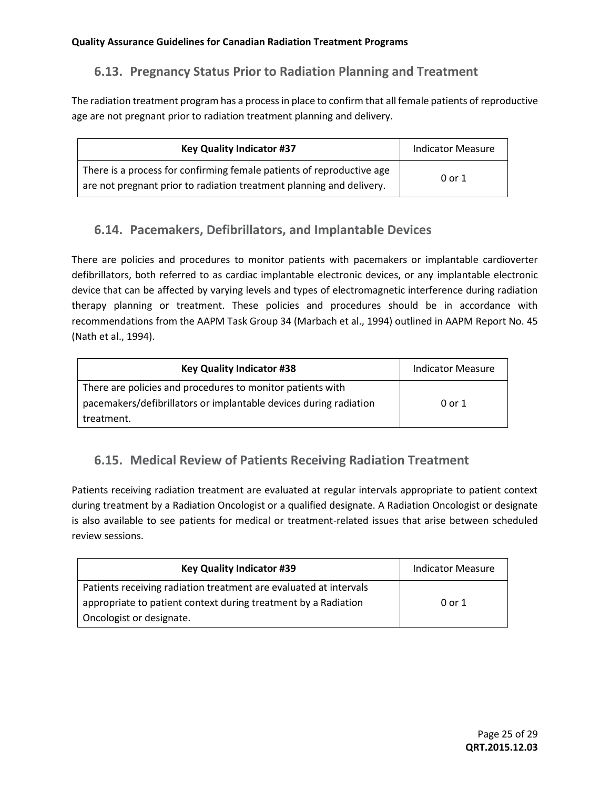## **6.13. Pregnancy Status Prior to Radiation Planning and Treatment**

The radiation treatment program has a process in place to confirm that all female patients of reproductive age are not pregnant prior to radiation treatment planning and delivery.

| <b>Key Quality Indicator #37</b>                                                                                                              | <b>Indicator Measure</b> |
|-----------------------------------------------------------------------------------------------------------------------------------------------|--------------------------|
| There is a process for confirming female patients of reproductive age<br>are not pregnant prior to radiation treatment planning and delivery. | 0 or 1                   |

#### **6.14. Pacemakers, Defibrillators, and Implantable Devices**

There are policies and procedures to monitor patients with pacemakers or implantable cardioverter defibrillators, both referred to as cardiac implantable electronic devices, or any implantable electronic device that can be affected by varying levels and types of electromagnetic interference during radiation therapy planning or treatment. These policies and procedures should be in accordance with recommendations from the AAPM Task Group 34 (Marbach et al., 1994) outlined in AAPM Report No. 45 (Nath et al., 1994).

| <b>Key Quality Indicator #38</b>                                  | Indicator Measure |
|-------------------------------------------------------------------|-------------------|
| There are policies and procedures to monitor patients with        |                   |
| pacemakers/defibrillators or implantable devices during radiation | 0 or 1            |
| treatment.                                                        |                   |

## **6.15. Medical Review of Patients Receiving Radiation Treatment**

Patients receiving radiation treatment are evaluated at regular intervals appropriate to patient context during treatment by a Radiation Oncologist or a qualified designate. A Radiation Oncologist or designate is also available to see patients for medical or treatment-related issues that arise between scheduled review sessions.

| <b>Key Quality Indicator #39</b>                                  | Indicator Measure |
|-------------------------------------------------------------------|-------------------|
| Patients receiving radiation treatment are evaluated at intervals |                   |
| appropriate to patient context during treatment by a Radiation    | 0 or 1            |
| Oncologist or designate.                                          |                   |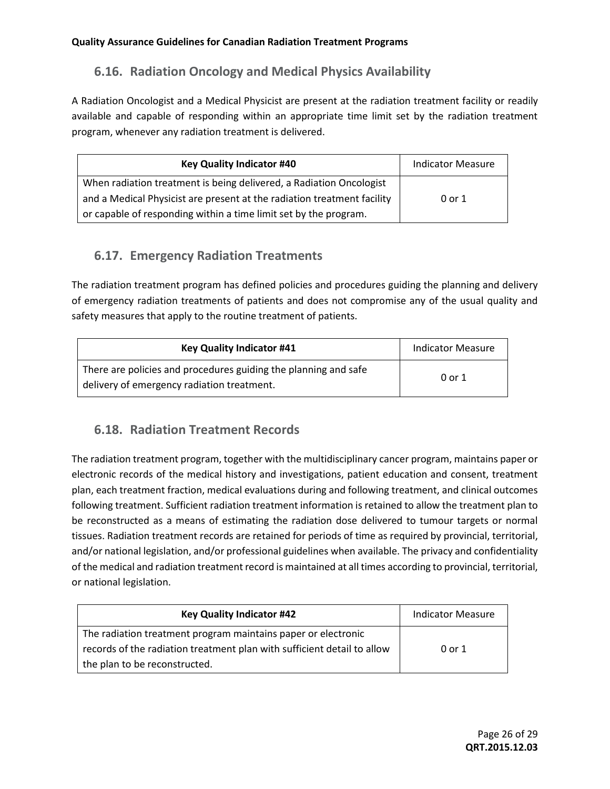# **6.16. Radiation Oncology and Medical Physics Availability**

A Radiation Oncologist and a Medical Physicist are present at the radiation treatment facility or readily available and capable of responding within an appropriate time limit set by the radiation treatment program, whenever any radiation treatment is delivered.

| <b>Key Quality Indicator #40</b>                                        | <b>Indicator Measure</b> |
|-------------------------------------------------------------------------|--------------------------|
| When radiation treatment is being delivered, a Radiation Oncologist     |                          |
| and a Medical Physicist are present at the radiation treatment facility | 0 or 1                   |
| or capable of responding within a time limit set by the program.        |                          |

## **6.17. Emergency Radiation Treatments**

The radiation treatment program has defined policies and procedures guiding the planning and delivery of emergency radiation treatments of patients and does not compromise any of the usual quality and safety measures that apply to the routine treatment of patients.

| <b>Key Quality Indicator #41</b>                                                                              | <b>Indicator Measure</b> |
|---------------------------------------------------------------------------------------------------------------|--------------------------|
| There are policies and procedures guiding the planning and safe<br>delivery of emergency radiation treatment. | 0 or 1                   |

## **6.18. Radiation Treatment Records**

The radiation treatment program, together with the multidisciplinary cancer program, maintains paper or electronic records of the medical history and investigations, patient education and consent, treatment plan, each treatment fraction, medical evaluations during and following treatment, and clinical outcomes following treatment. Sufficient radiation treatment information is retained to allow the treatment plan to be reconstructed as a means of estimating the radiation dose delivered to tumour targets or normal tissues. Radiation treatment records are retained for periods of time as required by provincial, territorial, and/or national legislation, and/or professional guidelines when available. The privacy and confidentiality of the medical and radiation treatment record is maintained at all times according to provincial, territorial, or national legislation.

| <b>Key Quality Indicator #42</b>                                        | <b>Indicator Measure</b> |
|-------------------------------------------------------------------------|--------------------------|
| The radiation treatment program maintains paper or electronic           |                          |
| records of the radiation treatment plan with sufficient detail to allow | 0 or 1                   |
| the plan to be reconstructed.                                           |                          |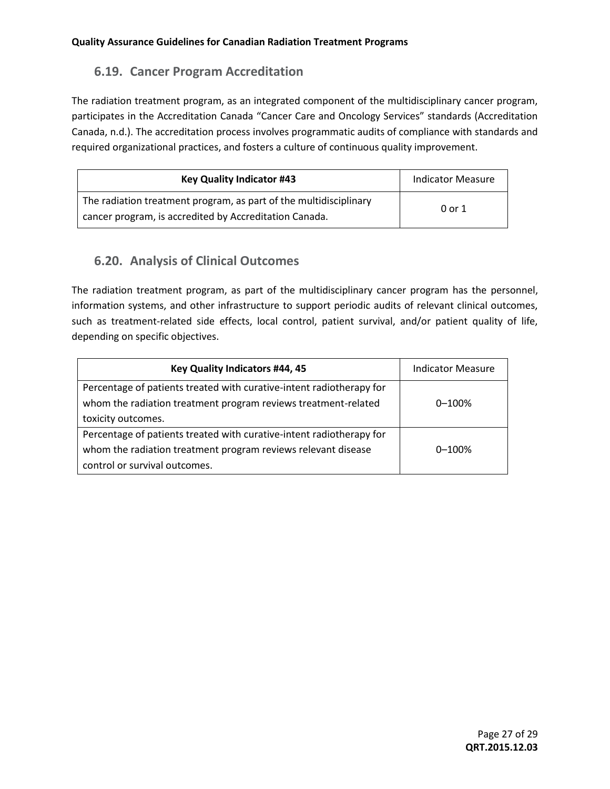### **6.19. Cancer Program Accreditation**

The radiation treatment program, as an integrated component of the multidisciplinary cancer program, participates in the Accreditation Canada "Cancer Care and Oncology Services" standards (Accreditation Canada, n.d.). The accreditation process involves programmatic audits of compliance with standards and required organizational practices, and fosters a culture of continuous quality improvement.

| <b>Key Quality Indicator #43</b>                                                                                            | <b>Indicator Measure</b> |
|-----------------------------------------------------------------------------------------------------------------------------|--------------------------|
| The radiation treatment program, as part of the multidisciplinary<br>cancer program, is accredited by Accreditation Canada. | 0 or 1                   |

#### **6.20. Analysis of Clinical Outcomes**

The radiation treatment program, as part of the multidisciplinary cancer program has the personnel, information systems, and other infrastructure to support periodic audits of relevant clinical outcomes, such as treatment-related side effects, local control, patient survival, and/or patient quality of life, depending on specific objectives.

| Key Quality Indicators #44, 45                                       | <b>Indicator Measure</b> |
|----------------------------------------------------------------------|--------------------------|
| Percentage of patients treated with curative-intent radiotherapy for |                          |
| whom the radiation treatment program reviews treatment-related       | $0 - 100%$               |
| toxicity outcomes.                                                   |                          |
| Percentage of patients treated with curative-intent radiotherapy for |                          |
| whom the radiation treatment program reviews relevant disease        | $0 - 100%$               |
| control or survival outcomes.                                        |                          |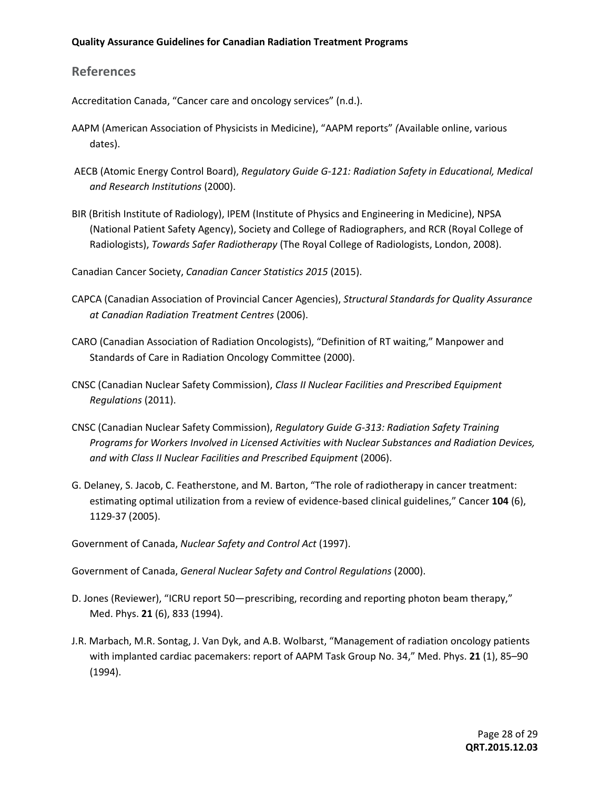#### **References**

Accreditation Canada, "Cancer care and oncology services" (n.d.).

- AAPM (American Association of Physicists in Medicine), "AAPM reports" *(*Available online, various dates).
- AECB (Atomic Energy Control Board), *Regulatory Guide G-121: Radiation Safety in Educational, Medical and Research Institutions* (2000).
- BIR (British Institute of Radiology), IPEM (Institute of Physics and Engineering in Medicine), NPSA (National Patient Safety Agency), Society and College of Radiographers, and RCR (Royal College of Radiologists), *Towards Safer Radiotherapy* (The Royal College of Radiologists, London, 2008).

Canadian Cancer Society, *Canadian Cancer Statistics 2015* (2015).

- CAPCA (Canadian Association of Provincial Cancer Agencies), *Structural Standards for Quality Assurance at Canadian Radiation Treatment Centres* (2006).
- CARO (Canadian Association of Radiation Oncologists), "Definition of RT waiting," Manpower and Standards of Care in Radiation Oncology Committee (2000).
- CNSC (Canadian Nuclear Safety Commission), *Class II Nuclear Facilities and Prescribed Equipment Regulations* (2011).
- CNSC (Canadian Nuclear Safety Commission), *Regulatory Guide G-313: Radiation Safety Training Programs for Workers Involved in Licensed Activities with Nuclear Substances and Radiation Devices, and with Class II Nuclear Facilities and Prescribed Equipment* (2006).
- G. Delaney, S. Jacob, C. Featherstone, and M. Barton, "The role of radiotherapy in cancer treatment: estimating optimal utilization from a review of evidence-based clinical guidelines," Cancer **104** (6), 1129-37 (2005).

Government of Canada, *Nuclear Safety and Control Act* (1997).

Government of Canada, *General Nuclear Safety and Control Regulations* (2000).

- D. Jones (Reviewer), "ICRU report 50—prescribing, recording and reporting photon beam therapy," Med. Phys. **21** (6), 833 (1994).
- J.R. Marbach, M.R. Sontag, J. Van Dyk, and A.B. Wolbarst, "Management of radiation oncology patients with implanted cardiac pacemakers: report of AAPM Task Group No. 34," Med. Phys. **21** (1), 85–90 (1994).